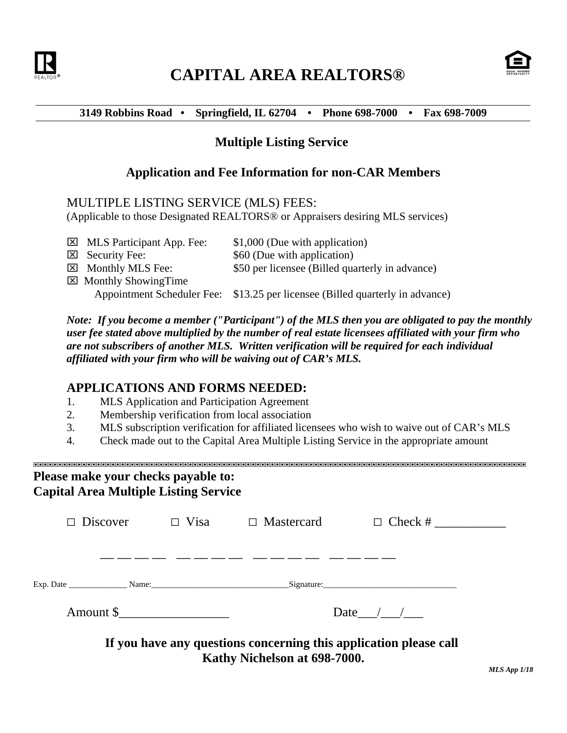

# **CAPITAL AREA REALTORS®**



#### **3149 Robbins Road • Springfield, IL 62704 • Phone 698-7000 • Fax 698-7009**

## **Multiple Listing Service**

### **Application and Fee Information for non-CAR Members**

#### MULTIPLE LISTING SERVICE (MLS) FEES:

(Applicable to those Designated REALTORS® or Appraisers desiring MLS services)

 $\boxtimes$  MLS Participant App. Fee:  $$1,000$  (Due with application)  $\boxtimes$  Security Fee:  $\$\,60$  (Due with application) Monthly MLS Fee: \$50 per licensee (Billed quarterly in advance)  $\boxtimes$  Monthly ShowingTime Appointment Scheduler Fee: \$13.25 per licensee (Billed quarterly in advance)

*Note: If you become a member ("Participant") of the MLS then you are obligated to pay the monthly user fee stated above multiplied by the number of real estate licensees affiliated with your firm who are not subscribers of another MLS. Written verification will be required for each individual affiliated with your firm who will be waiving out of CAR's MLS.*

### **APPLICATIONS AND FORMS NEEDED:**

- 1. MLS Application and Participation Agreement
- 2. Membership verification from local association
- 3. MLS subscription verification for affiliated licensees who wish to waive out of CAR's MLS
- 4. Check made out to the Capital Area Multiple Listing Service in the appropriate amount

#### '''''''''''''''''''''''''''''''''''''''''''''''''''''''''''''''''''''''''''''''''''''''''''''''''''''' **Please make your checks payable to: Capital Area Multiple Listing Service**

|           | Discover $\Box$ Visa $\Box$ Mastercard                                                            |            |
|-----------|---------------------------------------------------------------------------------------------------|------------|
|           |                                                                                                   |            |
|           |                                                                                                   |            |
| Amount \$ |                                                                                                   | Date $/$ / |
|           | If you have any questions concerning this application please call<br>Kathy Nichelson at 698-7000. |            |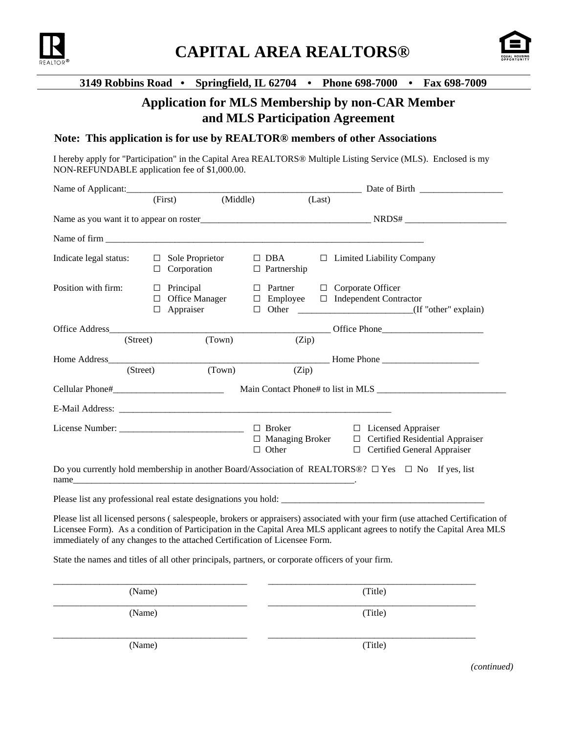



#### **3149 Robbins Road • Springfield, IL 62704 • Phone 698-7000 • Fax 698-7009**

## **Application for MLS Membership by non-CAR Member and MLS Participation Agreement**

#### **Note: This application is for use by REALTOR® members of other Associations**

I hereby apply for "Participation" in the Capital Area REALTORS® Multiple Listing Service (MLS). Enclosed is my NON-REFUNDABLE application fee of \$1,000.00.

|                                                                                                                                                                                                                               | (First)                                                        | (Middle)                         | (Last)                                                                                                                      |
|-------------------------------------------------------------------------------------------------------------------------------------------------------------------------------------------------------------------------------|----------------------------------------------------------------|----------------------------------|-----------------------------------------------------------------------------------------------------------------------------|
|                                                                                                                                                                                                                               |                                                                |                                  |                                                                                                                             |
|                                                                                                                                                                                                                               |                                                                |                                  |                                                                                                                             |
| Indicate legal status:                                                                                                                                                                                                        | Sole Proprietor<br>$\Box$<br>Corporation<br>□                  | $\Box$ DBA<br>$\Box$ Partnership | $\Box$ Limited Liability Company                                                                                            |
| Position with firm:                                                                                                                                                                                                           | Principal<br>$\Box$<br><b>Office Manager</b><br>Appraiser<br>□ | Partner<br>$\Box$                | $\Box$ Corporate Officer<br>$\Box$ Employee $\Box$ Independent Contractor                                                   |
| Office Address (Street) (Town)                                                                                                                                                                                                |                                                                | (Zip)                            | Office Phone                                                                                                                |
| Home Address <b>Manual</b><br>(Street)                                                                                                                                                                                        | (Town)                                                         | (Zip)                            | Home Phone                                                                                                                  |
|                                                                                                                                                                                                                               |                                                                |                                  |                                                                                                                             |
|                                                                                                                                                                                                                               |                                                                |                                  |                                                                                                                             |
|                                                                                                                                                                                                                               |                                                                | $\Box$ Broker<br>$\Box$ Other    | $\Box$ Licensed Appraiser<br>$\Box$ Managing Broker $\Box$ Certified Residential Appraiser<br>□ Certified General Appraiser |
| name and the same state of the state of the state of the state of the state of the state of the state of the state of the state of the state of the state of the state of the state of the state of the state of the state of |                                                                |                                  | Do you currently hold membership in another Board/Association of REALTORS®? $\Box$ Yes $\Box$ No If yes, list               |
|                                                                                                                                                                                                                               |                                                                |                                  |                                                                                                                             |

Please list all licensed persons ( salespeople, brokers or appraisers) associated with your firm (use attached Certification of Licensee Form). As a condition of Participation in the Capital Area MLS applicant agrees to notify the Capital Area MLS immediately of any changes to the attached Certification of Licensee Form.

State the names and titles of all other principals, partners, or corporate officers of your firm.

| (Name) | (Title) |
|--------|---------|
| (Name) | (Title) |
| (Name) | (Title) |

*(continued)*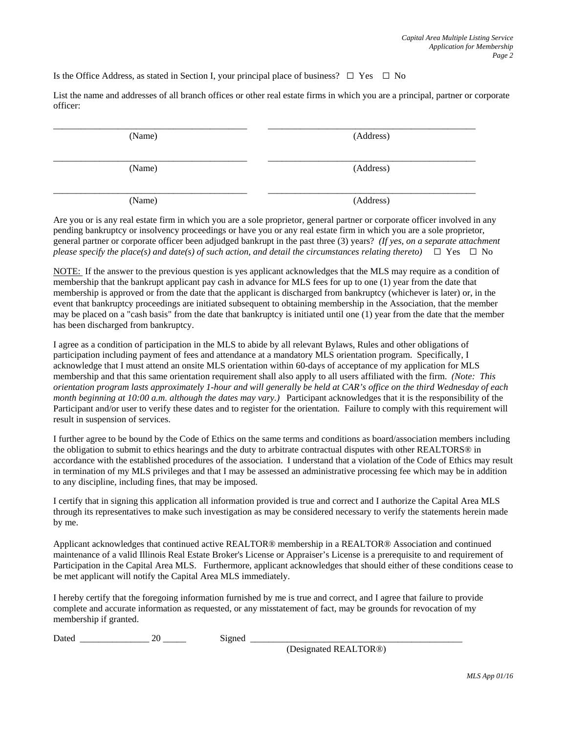Is the Office Address, as stated in Section I, your principal place of business?  $\Box$  Yes  $\Box$  No

List the name and addresses of all branch offices or other real estate firms in which you are a principal, partner or corporate officer:

| (Name) | (Address) |
|--------|-----------|
| (Name) | (Address) |
| (Name) | (Address) |

Are you or is any real estate firm in which you are a sole proprietor, general partner or corporate officer involved in any pending bankruptcy or insolvency proceedings or have you or any real estate firm in which you are a sole proprietor, general partner or corporate officer been adjudged bankrupt in the past three (3) years? *(If yes, on a separate attachment please specify the place(s) and date(s) of such action, and detail the circumstances relating thereto)*  $\Box$  Yes  $\Box$  No

NOTE: If the answer to the previous question is yes applicant acknowledges that the MLS may require as a condition of membership that the bankrupt applicant pay cash in advance for MLS fees for up to one (1) year from the date that membership is approved or from the date that the applicant is discharged from bankruptcy (whichever is later) or, in the event that bankruptcy proceedings are initiated subsequent to obtaining membership in the Association, that the member may be placed on a "cash basis" from the date that bankruptcy is initiated until one (1) year from the date that the member has been discharged from bankruptcy.

I agree as a condition of participation in the MLS to abide by all relevant Bylaws, Rules and other obligations of participation including payment of fees and attendance at a mandatory MLS orientation program. Specifically, I acknowledge that I must attend an onsite MLS orientation within 60-days of acceptance of my application for MLS membership and that this same orientation requirement shall also apply to all users affiliated with the firm. *(Note: This orientation program lasts approximately 1-hour and will generally be held at CAR's office on the third Wednesday of each month beginning at 10:00 a.m. although the dates may vary.)* Participant acknowledges that it is the responsibility of the Participant and/or user to verify these dates and to register for the orientation. Failure to comply with this requirement will result in suspension of services.

I further agree to be bound by the Code of Ethics on the same terms and conditions as board/association members including the obligation to submit to ethics hearings and the duty to arbitrate contractual disputes with other REALTORS® in accordance with the established procedures of the association. I understand that a violation of the Code of Ethics may result in termination of my MLS privileges and that I may be assessed an administrative processing fee which may be in addition to any discipline, including fines, that may be imposed.

I certify that in signing this application all information provided is true and correct and I authorize the Capital Area MLS through its representatives to make such investigation as may be considered necessary to verify the statements herein made by me.

Applicant acknowledges that continued active REALTOR® membership in a REALTOR® Association and continued maintenance of a valid Illinois Real Estate Broker's License or Appraiser's License is a prerequisite to and requirement of Participation in the Capital Area MLS. Furthermore, applicant acknowledges that should either of these conditions cease to be met applicant will notify the Capital Area MLS immediately.

I hereby certify that the foregoing information furnished by me is true and correct, and I agree that failure to provide complete and accurate information as requested, or any misstatement of fact, may be grounds for revocation of my membership if granted.

Dated \_\_\_\_\_\_\_\_\_\_\_\_\_\_\_ 20 \_\_\_\_\_ Signed \_\_\_\_\_\_\_\_\_\_\_\_\_\_\_\_\_\_\_\_\_\_\_\_\_\_\_\_\_\_\_\_\_\_\_\_\_\_\_\_\_\_\_\_\_\_

(Designated REALTOR®)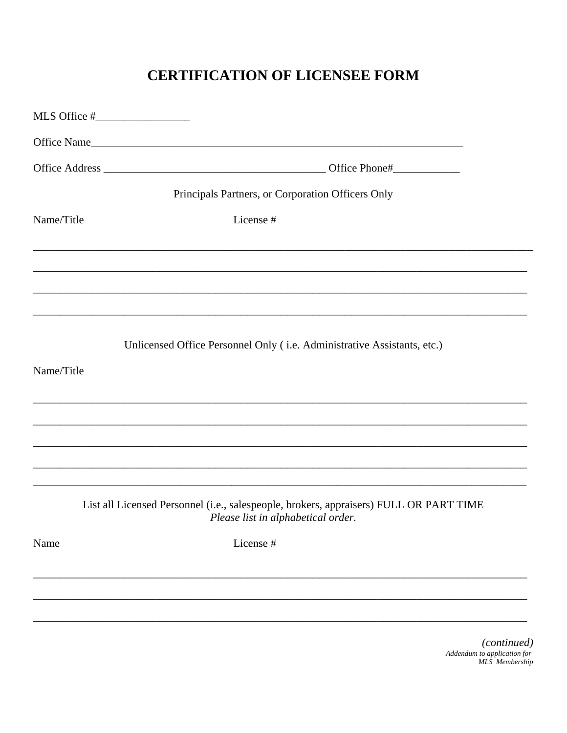# **CERTIFICATION OF LICENSEE FORM**

|            | Principals Partners, or Corporation Officers Only                                                                            |
|------------|------------------------------------------------------------------------------------------------------------------------------|
| Name/Title | License #                                                                                                                    |
|            |                                                                                                                              |
|            |                                                                                                                              |
|            | Unlicensed Office Personnel Only (i.e. Administrative Assistants, etc.)                                                      |
| Name/Title |                                                                                                                              |
|            |                                                                                                                              |
|            |                                                                                                                              |
|            | List all Licensed Personnel (i.e., salespeople, brokers, appraisers) FULL OR PART TIME<br>Please list in alphabetical order. |
| Name       | License #                                                                                                                    |
|            |                                                                                                                              |
|            |                                                                                                                              |

(continued) Addendum to application for<br>MLS Membership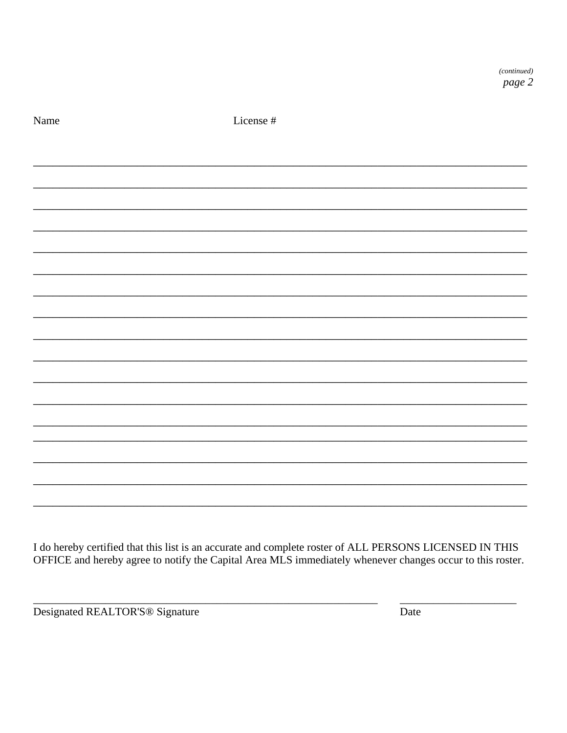Name

License #

I do hereby certified that this list is an accurate and complete roster of ALL PERSONS LICENSED IN THIS OFFICE and hereby agree to notify the Capital Area MLS immediately whenever changes occur to this roster.

Designated REALTOR'S<sup>®</sup> Signature

Date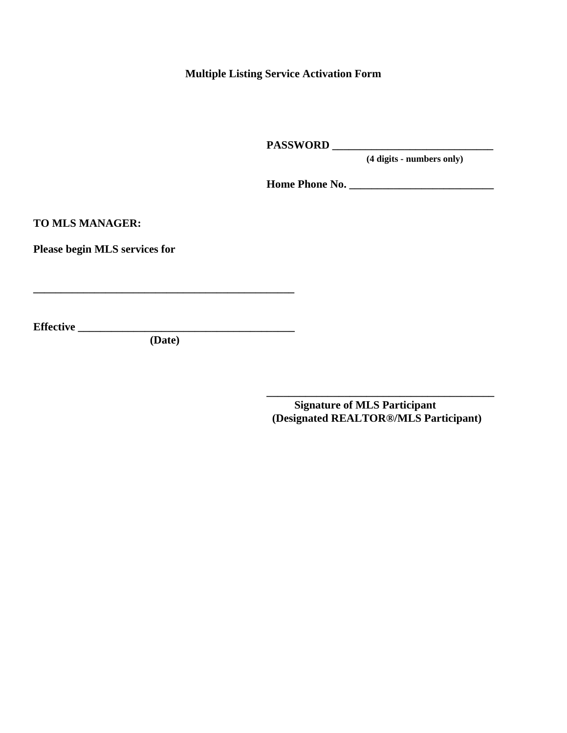**Multiple Listing Service Activation Form**

**PASSWORD \_\_\_\_\_\_\_\_\_\_\_\_\_\_\_\_\_\_\_\_\_\_\_\_\_\_\_\_\_**

 **(4 digits - numbers only)** 

**Home Phone No. \_\_\_\_\_\_\_\_\_\_\_\_\_\_\_\_\_\_\_\_\_\_\_\_\_\_**

**TO MLS MANAGER:**

**Please begin MLS services for**

**Effective \_\_\_\_\_\_\_\_\_\_\_\_\_\_\_\_\_\_\_\_\_\_\_\_\_\_\_\_\_\_\_\_\_\_\_\_\_\_\_**

 **(Date)**

**\_\_\_\_\_\_\_\_\_\_\_\_\_\_\_\_\_\_\_\_\_\_\_\_\_\_\_\_\_\_\_\_\_\_\_\_\_\_\_\_\_\_\_\_\_\_\_**

 **Signature of MLS Participant (Designated REALTOR®/MLS Participant)**

**\_\_\_\_\_\_\_\_\_\_\_\_\_\_\_\_\_\_\_\_\_\_\_\_\_\_\_\_\_\_\_\_\_\_\_\_\_\_\_\_\_**